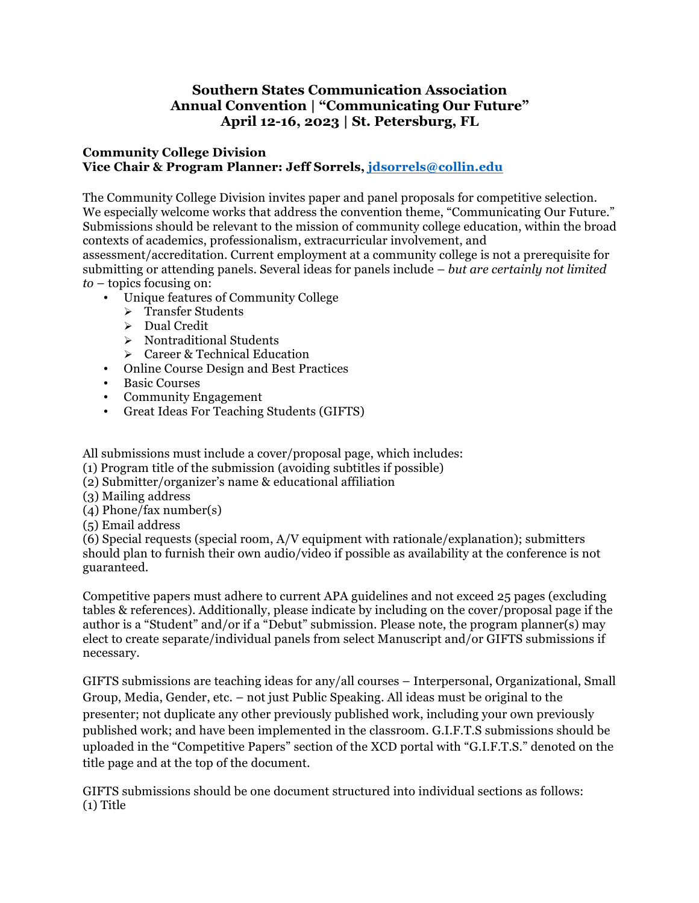## **Southern States Communication Association Annual Convention | "Communicating Our Future" April 12-16, 2023 | St. Petersburg, FL**

## **Community College Division Vice Chair & Program Planner: Jeff Sorrels, jdsorrels@collin.edu**

The Community College Division invites paper and panel proposals for competitive selection. We especially welcome works that address the convention theme, "Communicating Our Future." Submissions should be relevant to the mission of community college education, within the broad contexts of academics, professionalism, extracurricular involvement, and

assessment/accreditation. Current employment at a community college is not a prerequisite for submitting or attending panels. Several ideas for panels include – *but are certainly not limited to* – topics focusing on:

- Unique features of Community College
	- > Transfer Students
	- $\triangleright$  Dual Credit
	- $\triangleright$  Nontraditional Students
	- $\triangleright$  Career & Technical Education
- Online Course Design and Best Practices
- Basic Courses
- Community Engagement
- Great Ideas For Teaching Students (GIFTS)

All submissions must include a cover/proposal page, which includes:

- (1) Program title of the submission (avoiding subtitles if possible)
- (2) Submitter/organizer's name & educational affiliation
- (3) Mailing address
- (4) Phone/fax number(s)
- (5) Email address

(6) Special requests (special room, A/V equipment with rationale/explanation); submitters should plan to furnish their own audio/video if possible as availability at the conference is not guaranteed.

Competitive papers must adhere to current APA guidelines and not exceed 25 pages (excluding tables & references). Additionally, please indicate by including on the cover/proposal page if the author is a "Student" and/or if a "Debut" submission. Please note, the program planner(s) may elect to create separate/individual panels from select Manuscript and/or GIFTS submissions if necessary.

GIFTS submissions are teaching ideas for any/all courses – Interpersonal, Organizational, Small Group, Media, Gender, etc. – not just Public Speaking. All ideas must be original to the presenter; not duplicate any other previously published work, including your own previously published work; and have been implemented in the classroom. G.I.F.T.S submissions should be uploaded in the "Competitive Papers" section of the XCD portal with "G.I.F.T.S." denoted on the title page and at the top of the document.

GIFTS submissions should be one document structured into individual sections as follows: (1) Title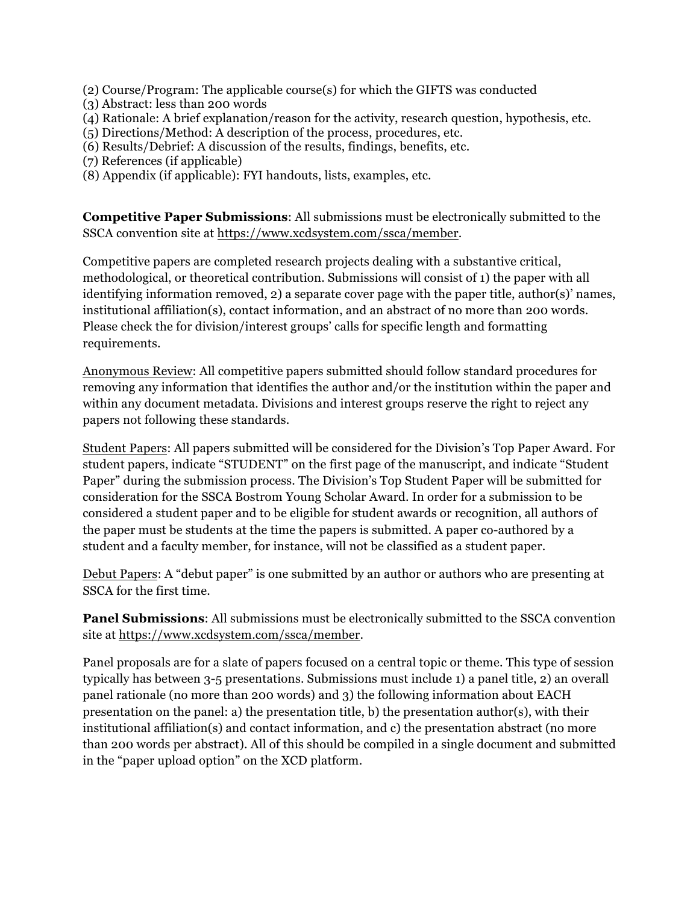(2) Course/Program: The applicable course(s) for which the GIFTS was conducted

(3) Abstract: less than 200 words

(4) Rationale: A brief explanation/reason for the activity, research question, hypothesis, etc.

(5) Directions/Method: A description of the process, procedures, etc.

(6) Results/Debrief: A discussion of the results, findings, benefits, etc.

(7) References (if applicable)

(8) Appendix (if applicable): FYI handouts, lists, examples, etc.

**Competitive Paper Submissions**: All submissions must be electronically submitted to the SSCA convention site at https://www.xcdsystem.com/ssca/member.

Competitive papers are completed research projects dealing with a substantive critical, methodological, or theoretical contribution. Submissions will consist of 1) the paper with all identifying information removed, 2) a separate cover page with the paper title, author(s)' names, institutional affiliation(s), contact information, and an abstract of no more than 200 words. Please check the for division/interest groups' calls for specific length and formatting requirements.

Anonymous Review: All competitive papers submitted should follow standard procedures for removing any information that identifies the author and/or the institution within the paper and within any document metadata. Divisions and interest groups reserve the right to reject any papers not following these standards.

Student Papers: All papers submitted will be considered for the Division's Top Paper Award. For student papers, indicate "STUDENT" on the first page of the manuscript, and indicate "Student Paper" during the submission process. The Division's Top Student Paper will be submitted for consideration for the SSCA Bostrom Young Scholar Award. In order for a submission to be considered a student paper and to be eligible for student awards or recognition, all authors of the paper must be students at the time the papers is submitted. A paper co-authored by a student and a faculty member, for instance, will not be classified as a student paper.

Debut Papers: A "debut paper" is one submitted by an author or authors who are presenting at SSCA for the first time.

**Panel Submissions**: All submissions must be electronically submitted to the SSCA convention site at https://www.xcdsystem.com/ssca/member.

Panel proposals are for a slate of papers focused on a central topic or theme. This type of session typically has between 3-5 presentations. Submissions must include 1) a panel title, 2) an overall panel rationale (no more than 200 words) and 3) the following information about EACH presentation on the panel: a) the presentation title, b) the presentation author(s), with their institutional affiliation(s) and contact information, and c) the presentation abstract (no more than 200 words per abstract). All of this should be compiled in a single document and submitted in the "paper upload option" on the XCD platform.